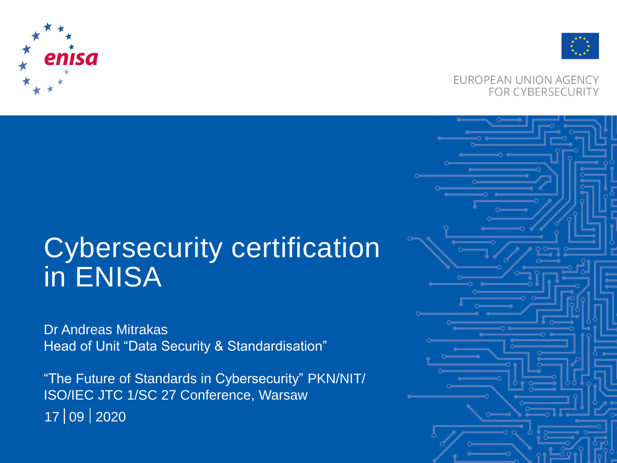



#### EUROPEAN UNION AGENCY **FOR CYBERSECURITY**

### Cybersecurity certification in ENISA

Dr Andreas Mitrakas Head of Unit "Data Security & Standardisation"

"The Future of Standards in Cybersecurity" PKN/NIT/ ISO/IEC JTC 1/SC 27 Conference, Warsaw 09 2020 17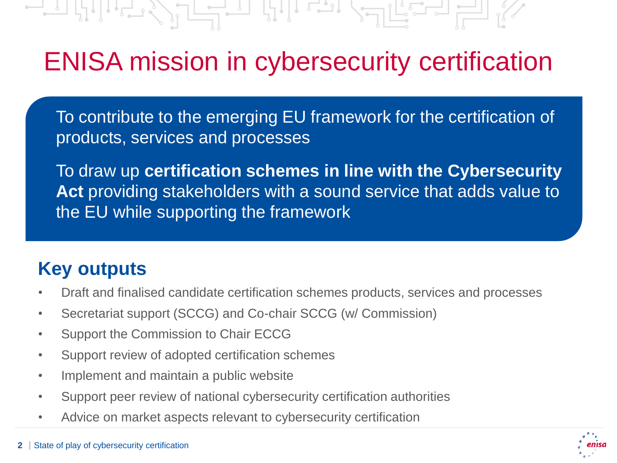$\begin{picture}(20,10) \put(0,0){\line(1,0){10}} \put(15,0){\line(1,0){10}} \put(15,0){\line(1,0){10}} \put(15,0){\line(1,0){10}} \put(15,0){\line(1,0){10}} \put(15,0){\line(1,0){10}} \put(15,0){\line(1,0){10}} \put(15,0){\line(1,0){10}} \put(15,0){\line(1,0){10}} \put(15,0){\line(1,0){10}} \put(15,0){\line(1,0){10}} \put(15,0){\line(1$ <u>| | | | | | | | | | | | </u>

### ENISA mission in cybersecurity certification

To contribute to the emerging EU framework for the certification of products, services and processes

To draw up **certification schemes in line with the Cybersecurity Act** providing stakeholders with a sound service that adds value to the EU while supporting the framework

### **Key outputs**

- Draft and finalised candidate certification schemes products, services and processes
- Secretariat support (SCCG) and Co-chair SCCG (w/ Commission)
- Support the Commission to Chair ECCG
- Support review of adopted certification schemes
- Implement and maintain a public website
- Support peer review of national cybersecurity certification authorities
- Advice on market aspects relevant to cybersecurity certification

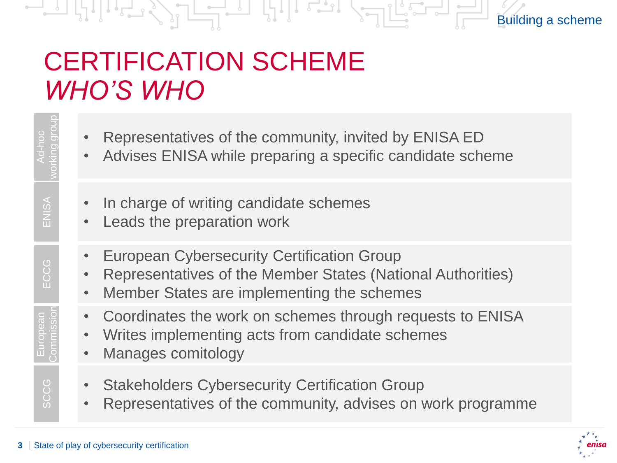### CERTIFICATION SCHEME *WHO'S WHO*

- Representatives of the community, invited by ENISA ED
- Advises ENISA while preparing a specific candidate scheme
- In charge of writing candidate schemes
- Leads the preparation work
- European Cybersecurity Certification Group
- Representatives of the Member States (National Authorities)
- Member States are implementing the schemes
- Coordinates the work on schemes through requests to ENISA
- Writes implementing acts from candidate schemes
- Manages comitology
- Stakeholders Cybersecurity Certification Group
- Representatives of the community, advises on work programme



Building a scheme

European

**SCCG** 

Lation ECCG<br>Commission ECCG

SCCG European ECCG ENISA Morking group

CCG m

ENISA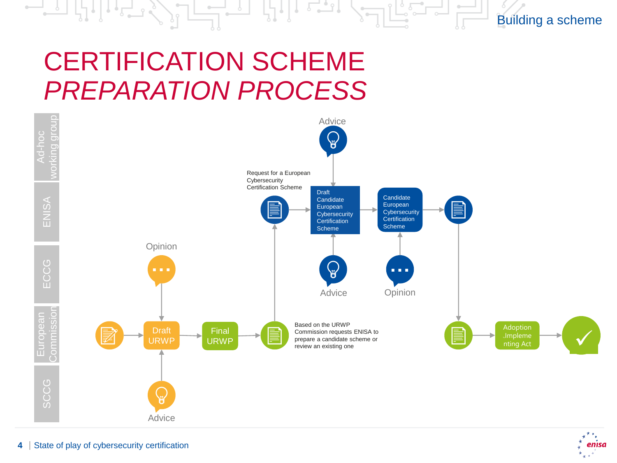## CERTIFICATION SCHEME *PREPARATION PROCESS*



Building a scheme

enisa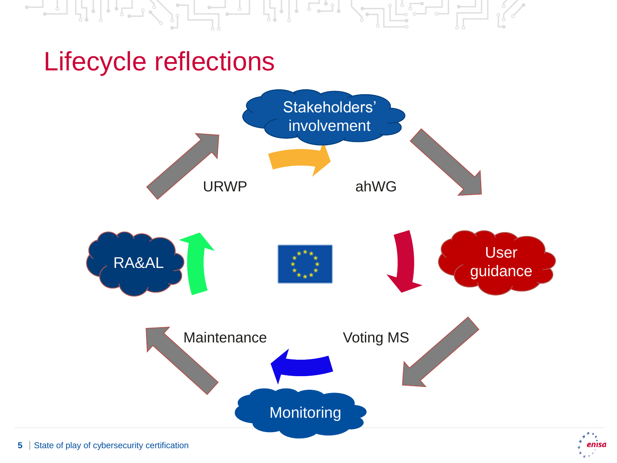### Lifecycle reflections



enisa

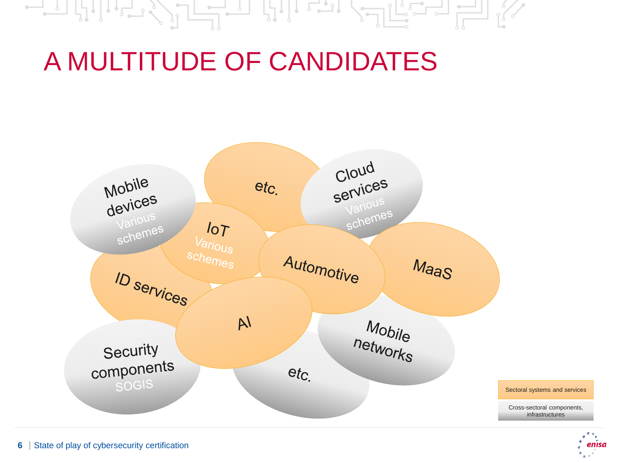#### $\frac{1}{2}$ - 나니 도그니  $\mathbb{R}$   $\mathbb{R}$   $\mathbb{R}$   $\mathbb{R}$ 小片一

### A MULTITUDE OF CANDIDATES



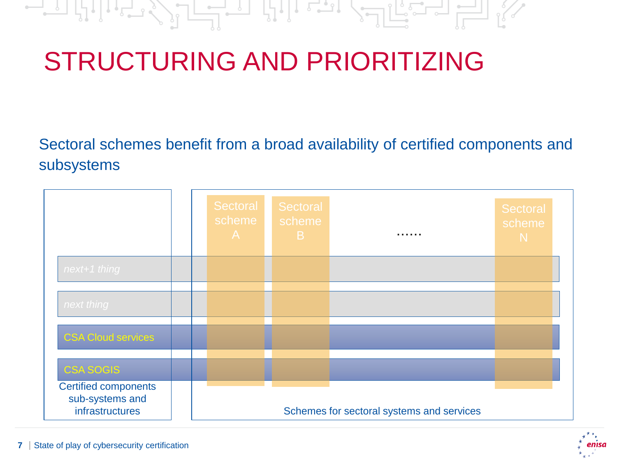#### $-1$ الع لہ چارہ

# STRUCTURING AND PRIORITIZING

Sectoral schemes benefit from a broad availability of certified components and subsystems

|                                                                   |  | Sectoral<br>scheme<br>A | Sectoral<br>scheme<br>B. | .                                         | Sectoral<br>scheme<br>N. |
|-------------------------------------------------------------------|--|-------------------------|--------------------------|-------------------------------------------|--------------------------|
| next+1 thing                                                      |  |                         |                          |                                           |                          |
| next thing                                                        |  |                         |                          |                                           |                          |
| <b>CSA Cloud services</b>                                         |  |                         |                          |                                           |                          |
| <b>CSA SOGIS</b>                                                  |  |                         |                          |                                           |                          |
| <b>Certified components</b><br>sub-systems and<br>infrastructures |  |                         |                          | Schemes for sectoral systems and services |                          |

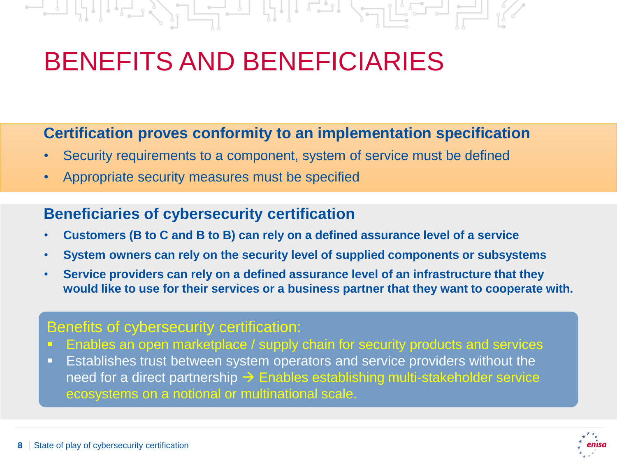## BENEFITS AND BENEFICIARIES

### **Certification proves conformity to an implementation specification**

- Security requirements to a component, system of service must be defined
- Appropriate security measures must be specified

### **Beneficiaries of cybersecurity certification**

- **Customers (B to C and B to B) can rely on a defined assurance level of a service**
- **System owners can rely on the security level of supplied components or subsystems**
- **Service providers can rely on a defined assurance level of an infrastructure that they would like to use for their services or a business partner that they want to cooperate with.**

#### Benefits of cybersecurity certification:

- **Enables an open marketplace / supply chain for security products and services**
- **E** Establishes trust between system operators and service providers without the need for a direct partnership  $\rightarrow$  Enables establishing multi-stakeholder service ecosystems on a notional or multinational scale.

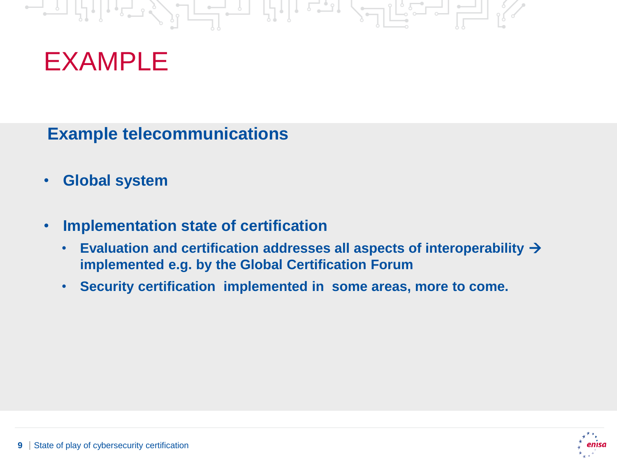### $\begin{picture}(20,10) \put(0,0){\line(1,0){10}} \put(15,0){\line(1,0){10}} \put(15,0){\line(1,0){10}} \put(15,0){\line(1,0){10}} \put(15,0){\line(1,0){10}} \put(15,0){\line(1,0){10}} \put(15,0){\line(1,0){10}} \put(15,0){\line(1,0){10}} \put(15,0){\line(1,0){10}} \put(15,0){\line(1,0){10}} \put(15,0){\line(1,0){10}} \put(15,0){\line(1$ <u>valisa el 1</u>

### EXAMPLE

**Example telecommunications**

- **Global system**
- **Implementation state of certification**
	- **Evaluation and certification addresses all aspects of interoperability** → **implemented e.g. by the Global Certification Forum**
	- **Security certification implemented in some areas, more to come.**

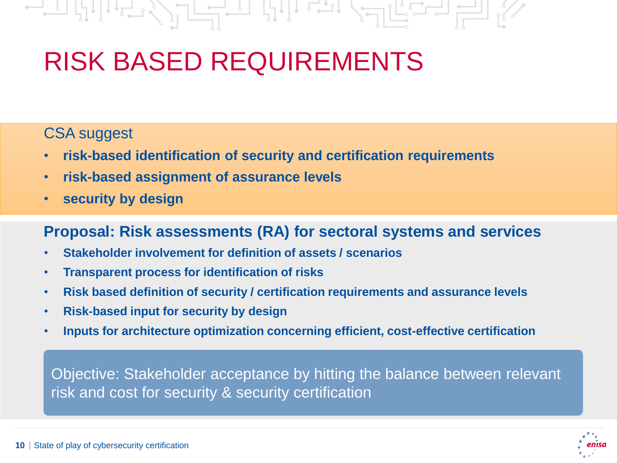# $\mathbb{Z}$  ,  $\mathbb{Z}$  ,  $\mathbb{Z}$  ,  $\mathbb{Z}$  ,  $\mathbb{Z}$  ,  $\mathbb{Z}$  ,  $\mathbb{Z}$  ,  $\mathbb{Z}$

# RISK BASED REQUIREMENTS

### CSA suggest

- **risk-based identification of security and certification requirements**
- **risk-based assignment of assurance levels**
- **security by design**

### **Proposal: Risk assessments (RA) for sectoral systems and services**

- **Stakeholder involvement for definition of assets / scenarios**
- **Transparent process for identification of risks**
- **Risk based definition of security / certification requirements and assurance levels**
- **Risk-based input for security by design**
- **Inputs for architecture optimization concerning efficient, cost-effective certification**

Objective: Stakeholder acceptance by hitting the balance between relevant risk and cost for security & security certification

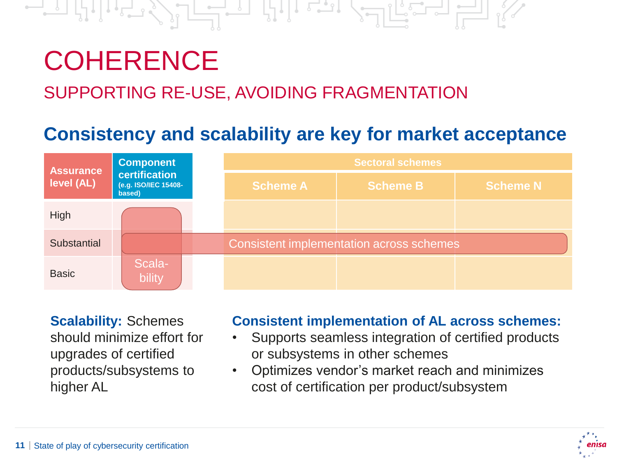# **COHERENCE**

### SUPPORTING RE-USE, AVOIDING FRAGMENTATION

### **Consistency and scalability are key for market acceptance**



**Scalability:** Schemes should minimize effort for upgrades of certified products/subsystems to higher AL

#### **Consistent implementation of AL across schemes:**

- Supports seamless integration of certified products or subsystems in other schemes
- Optimizes vendor's market reach and minimizes cost of certification per product/subsystem